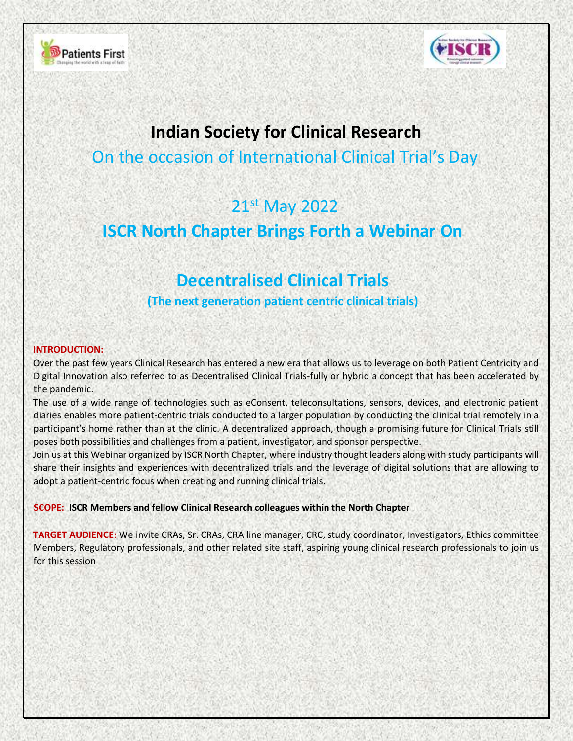



## **Indian Society for Clinical Research**

On the occasion of International Clinical Trial's Day

# 21st May 2022

### **ISCR North Chapter Brings Forth a Webinar On**

#### **Decentralised Clinical Trials**

**(The next generation patient centric clinical trials)**

#### **INTRODUCTION:**

Over the past few years Clinical Research has entered a new era that allows us to leverage on both Patient Centricity and Digital Innovation also referred to as Decentralised Clinical Trials-fully or hybrid a concept that has been accelerated by the pandemic.

The use of a wide range of technologies such as eConsent, teleconsultations, sensors, devices, and electronic patient diaries enables more patient-centric trials conducted to a larger population by conducting the clinical trial remotely in a participant's home rather than at the clinic. A decentralized approach, though a promising future for Clinical Trials still poses both possibilities and challenges from a patient, investigator, and sponsor perspective.

Join us at this Webinar organized by ISCR North Chapter, where industry thought leaders along with study participants will share their insights and experiences with decentralized trials and the leverage of digital solutions that are allowing to adopt a patient-centric focus when creating and running clinical trials.

**SCOPE: ISCR Members and fellow Clinical Research colleagues within the North Chapter** 

**TARGET AUDIENCE**: We invite CRAs, Sr. CRAs, CRA line manager, CRC, study coordinator, Investigators, Ethics committee Members, Regulatory professionals, and other related site staff, aspiring young clinical research professionals to join us for this session